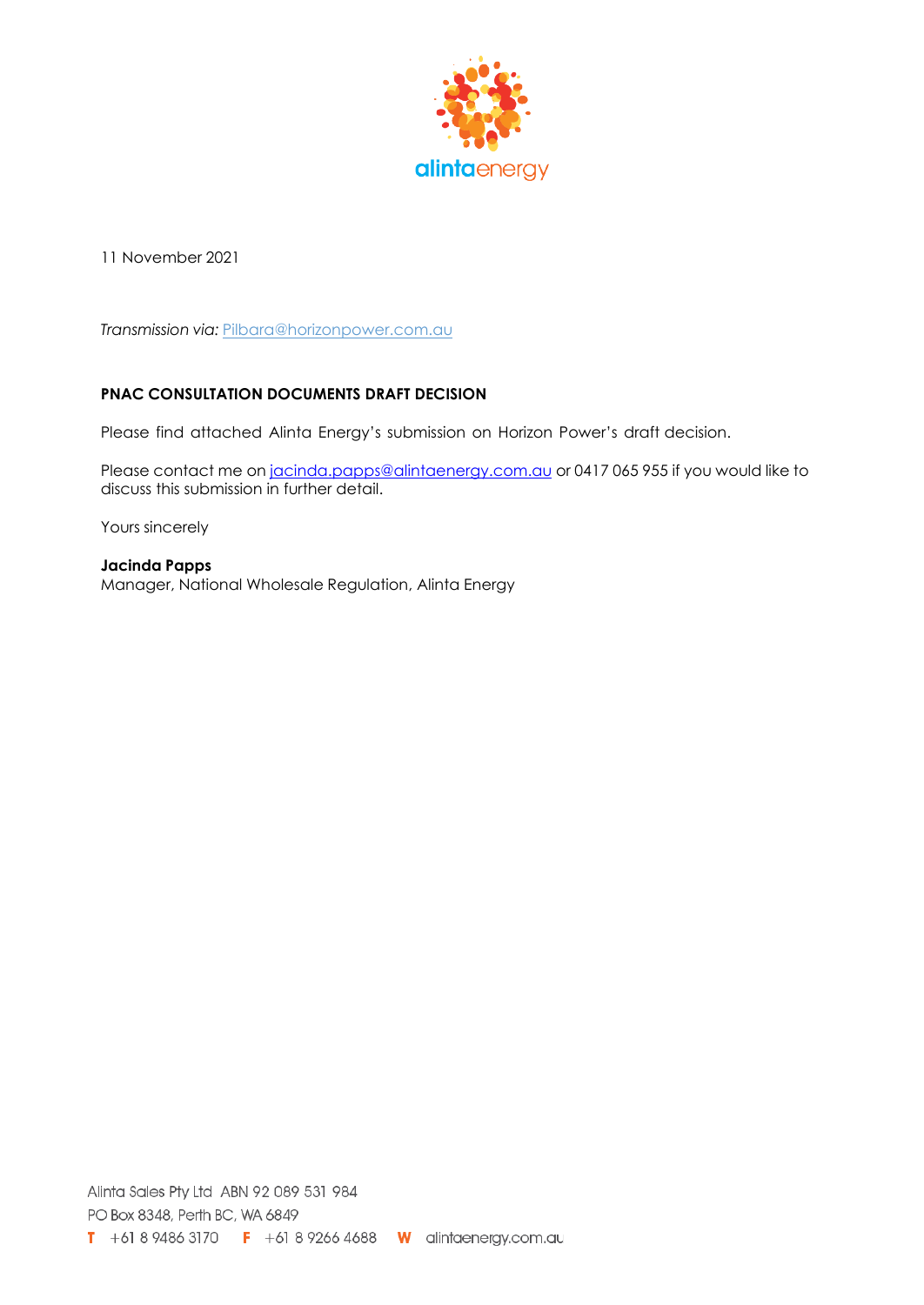

11 November 2021

*Transmission via:* [Pilbara@horizonpower.com.au](mailto:Pilbara@horizonpower.com.au)

## **PNAC CONSULTATION DOCUMENTS DRAFT DECISION**

Please find attached Alinta Energy's submission on Horizon Power's draft decision.

Please contact me on [jacinda.papps@alintaenergy.com.au](mailto:jacinda.papps@alintaenergy.com.au) or 0417 065 955 if you would like to discuss this submission in further detail.

Yours sincerely

**Jacinda Papps** Manager, National Wholesale Regulation, Alinta Energy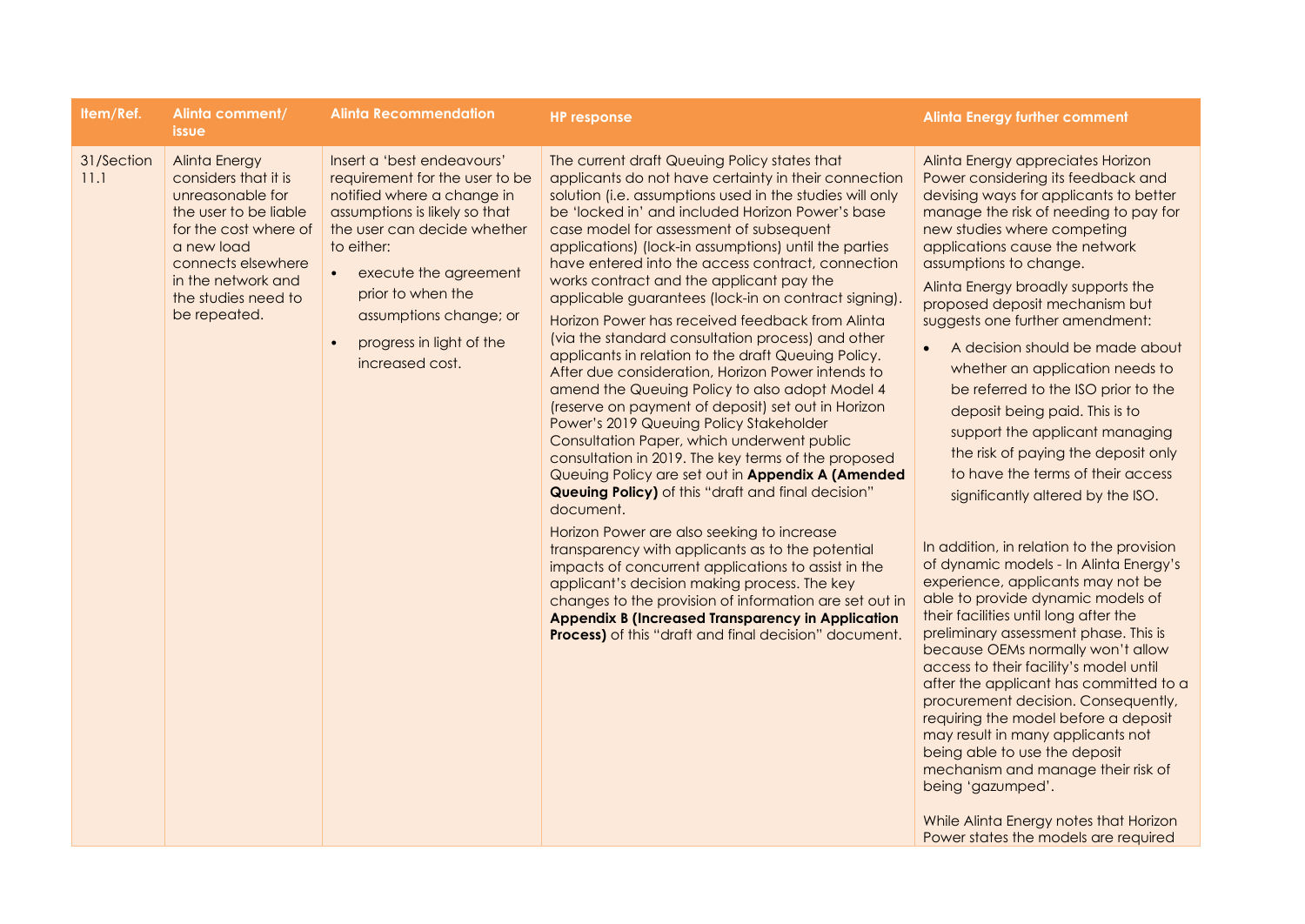| <b>Alinta Energy</b><br>Insert a 'best endeavours'<br>The current draft Queuing Policy states that<br>Alinta Energy appreciates Horizon<br>31/Section<br>11.1<br>considers that it is<br>requirement for the user to be<br>applicants do not have certainty in their connection<br>Power considering its feedback and<br>unreasonable for<br>solution (i.e. assumptions used in the studies will only<br>devising ways for applicants to better<br>notified where a change in<br>the user to be liable<br>assumptions is likely so that<br>be 'locked in' and included Horizon Power's base<br>manage the risk of needing to pay for<br>the user can decide whether<br>case model for assessment of subsequent<br>new studies where competing<br>for the cost where of<br>to either:<br>applications cause the network<br>a new load<br>applications) (lock-in assumptions) until the parties<br>have entered into the access contract, connection<br>assumptions to change.<br>connects elsewhere<br>execute the agreement<br>in the network and<br>works contract and the applicant pay the<br>Alinta Energy broadly supports the<br>prior to when the<br>the studies need to<br>applicable guarantees (lock-in on contract signing).<br>proposed deposit mechanism but<br>be repeated.<br>assumptions change; or<br>Horizon Power has received feedback from Alinta<br>suggests one further amendment:                                                                                                                                                                                                                                                                                                                                                                                                                                                                                        | <b>Alinta Energy further comment</b> | <b>HP</b> response                                | <b>Alinta Recommendation</b> | Alinta comment/<br><b>issue</b> | Item/Ref. |
|--------------------------------------------------------------------------------------------------------------------------------------------------------------------------------------------------------------------------------------------------------------------------------------------------------------------------------------------------------------------------------------------------------------------------------------------------------------------------------------------------------------------------------------------------------------------------------------------------------------------------------------------------------------------------------------------------------------------------------------------------------------------------------------------------------------------------------------------------------------------------------------------------------------------------------------------------------------------------------------------------------------------------------------------------------------------------------------------------------------------------------------------------------------------------------------------------------------------------------------------------------------------------------------------------------------------------------------------------------------------------------------------------------------------------------------------------------------------------------------------------------------------------------------------------------------------------------------------------------------------------------------------------------------------------------------------------------------------------------------------------------------------------------------------------------------------------------------------------------------------------------------------------|--------------------------------------|---------------------------------------------------|------------------------------|---------------------------------|-----------|
| A decision should be made about<br>$\bullet$<br>applicants in relation to the draft Queuing Policy.<br>increased cost.<br>whether an application needs to<br>After due consideration, Horizon Power intends to<br>amend the Queuing Policy to also adopt Model 4<br>be referred to the ISO prior to the<br>(reserve on payment of deposit) set out in Horizon<br>deposit being paid. This is to<br>Power's 2019 Queuing Policy Stakeholder<br>support the applicant managing<br>Consultation Paper, which underwent public<br>the risk of paying the deposit only<br>consultation in 2019. The key terms of the proposed<br>to have the terms of their access<br>Queuing Policy are set out in Appendix A (Amended<br>Queuing Policy) of this "draft and final decision"<br>significantly altered by the ISO.<br>document.<br>Horizon Power are also seeking to increase<br>In addition, in relation to the provision<br>transparency with applicants as to the potential<br>of dynamic models - In Alinta Energy's<br>impacts of concurrent applications to assist in the<br>experience, applicants may not be<br>applicant's decision making process. The key<br>able to provide dynamic models of<br>changes to the provision of information are set out in<br>their facilities until long after the<br><b>Appendix B (Increased Transparency in Application</b><br>preliminary assessment phase. This is<br>Process) of this "draft and final decision" document.<br>because OEMs normally won't allow<br>access to their facility's model until<br>after the applicant has committed to a<br>procurement decision. Consequently,<br>requiring the model before a deposit<br>may result in many applicants not<br>being able to use the deposit<br>mechanism and manage their risk of<br>being 'gazumped'.<br>While Alinta Energy notes that Horizon<br>Power states the models are required |                                      | (via the standard consultation process) and other | progress in light of the     |                                 |           |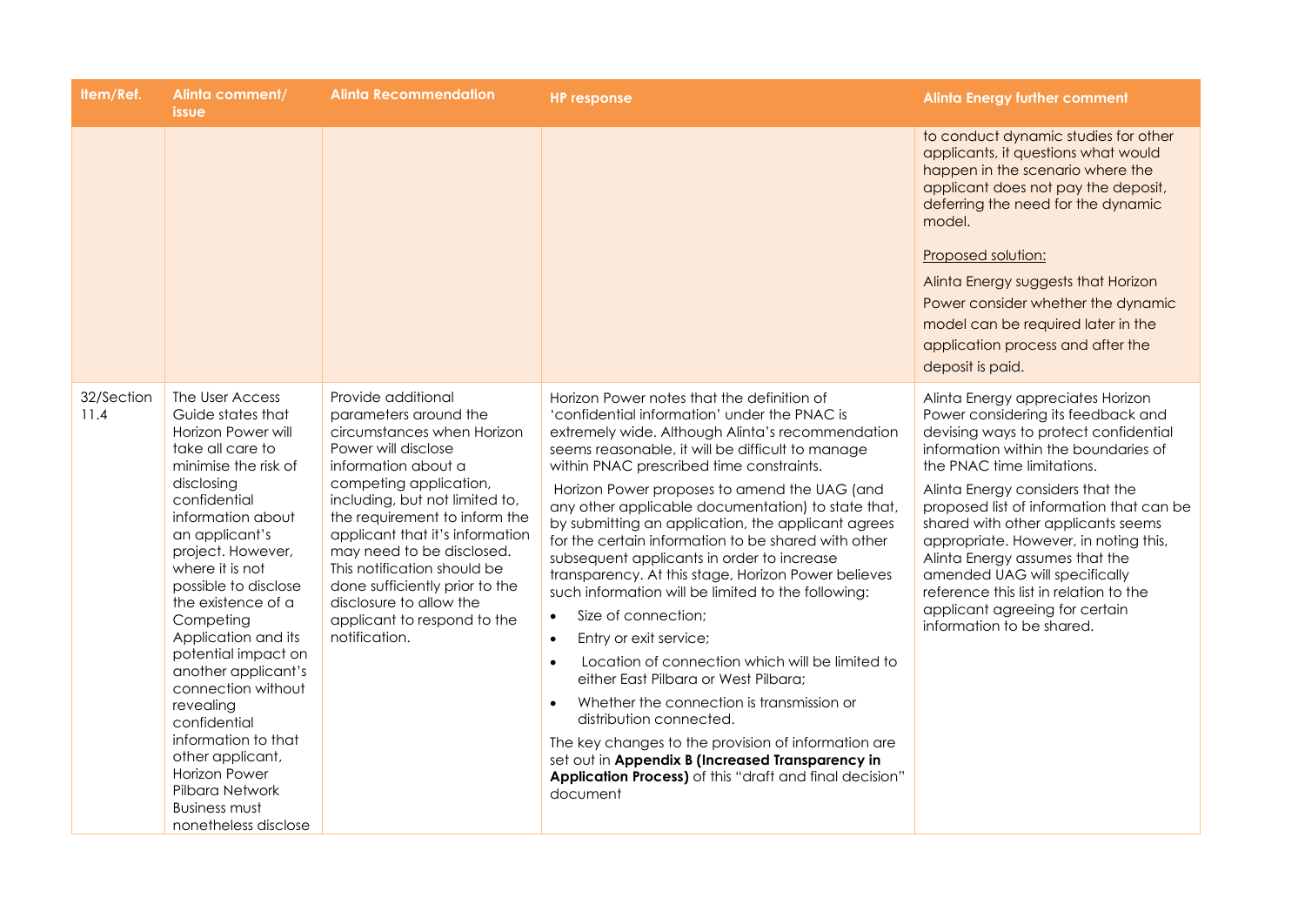| Item/Ref.          | Alinta comment/<br><i>issue</i>                                                                                                                                                                                                                                                                                                                                                                                                                                                                                                              | <b>Alinta Recommendation</b>                                                                                                                                                                                                                                                                                                                                                                                                     | <b>HP response</b>                                                                                                                                                                                                                                                                                                                                                                                                                                                                                                                                                                                                                                                                                                                                                                                                                                                                                                                                                                                                                                           | <b>Alinta Energy further comment</b>                                                                                                                                                                                                                                                                                                                                                                                                                                                                                              |
|--------------------|----------------------------------------------------------------------------------------------------------------------------------------------------------------------------------------------------------------------------------------------------------------------------------------------------------------------------------------------------------------------------------------------------------------------------------------------------------------------------------------------------------------------------------------------|----------------------------------------------------------------------------------------------------------------------------------------------------------------------------------------------------------------------------------------------------------------------------------------------------------------------------------------------------------------------------------------------------------------------------------|--------------------------------------------------------------------------------------------------------------------------------------------------------------------------------------------------------------------------------------------------------------------------------------------------------------------------------------------------------------------------------------------------------------------------------------------------------------------------------------------------------------------------------------------------------------------------------------------------------------------------------------------------------------------------------------------------------------------------------------------------------------------------------------------------------------------------------------------------------------------------------------------------------------------------------------------------------------------------------------------------------------------------------------------------------------|-----------------------------------------------------------------------------------------------------------------------------------------------------------------------------------------------------------------------------------------------------------------------------------------------------------------------------------------------------------------------------------------------------------------------------------------------------------------------------------------------------------------------------------|
|                    |                                                                                                                                                                                                                                                                                                                                                                                                                                                                                                                                              |                                                                                                                                                                                                                                                                                                                                                                                                                                  |                                                                                                                                                                                                                                                                                                                                                                                                                                                                                                                                                                                                                                                                                                                                                                                                                                                                                                                                                                                                                                                              | to conduct dynamic studies for other<br>applicants, it questions what would<br>happen in the scenario where the<br>applicant does not pay the deposit,<br>deferring the need for the dynamic<br>model.<br><b>Proposed solution:</b><br>Alinta Energy suggests that Horizon<br>Power consider whether the dynamic<br>model can be required later in the<br>application process and after the<br>deposit is paid.                                                                                                                   |
| 32/Section<br>11.4 | The User Access<br>Guide states that<br>Horizon Power will<br>take all care to<br>minimise the risk of<br>disclosing<br>confidential<br>information about<br>an applicant's<br>project. However,<br>where it is not<br>possible to disclose<br>the existence of a<br>Competing<br>Application and its<br>potential impact on<br>another applicant's<br>connection without<br>revealing<br>confidential<br>information to that<br>other applicant,<br><b>Horizon Power</b><br>Pilbara Network<br><b>Business must</b><br>nonetheless disclose | Provide additional<br>parameters around the<br>circumstances when Horizon<br>Power will disclose<br>information about a<br>competing application,<br>including, but not limited to,<br>the requirement to inform the<br>applicant that it's information<br>may need to be disclosed.<br>This notification should be<br>done sufficiently prior to the<br>disclosure to allow the<br>applicant to respond to the<br>notification. | Horizon Power notes that the definition of<br>'confidential information' under the PNAC is<br>extremely wide. Although Alinta's recommendation<br>seems reasonable, it will be difficult to manage<br>within PNAC prescribed time constraints.<br>Horizon Power proposes to amend the UAG (and<br>any other applicable documentation) to state that,<br>by submitting an application, the applicant agrees<br>for the certain information to be shared with other<br>subsequent applicants in order to increase<br>transparency. At this stage, Horizon Power believes<br>such information will be limited to the following:<br>Size of connection;<br>$\bullet$<br>Entry or exit service;<br>Location of connection which will be limited to<br>$\bullet$<br>either East Pilbara or West Pilbara;<br>Whether the connection is transmission or<br>distribution connected.<br>The key changes to the provision of information are<br>set out in Appendix B (Increased Transparency in<br>Application Process) of this "draft and final decision"<br>document | Alinta Energy appreciates Horizon<br>Power considering its feedback and<br>devising ways to protect confidential<br>information within the boundaries of<br>the PNAC time limitations.<br>Alinta Energy considers that the<br>proposed list of information that can be<br>shared with other applicants seems<br>appropriate. However, in noting this,<br>Alinta Energy assumes that the<br>amended UAG will specifically<br>reference this list in relation to the<br>applicant agreeing for certain<br>information to be shared. |